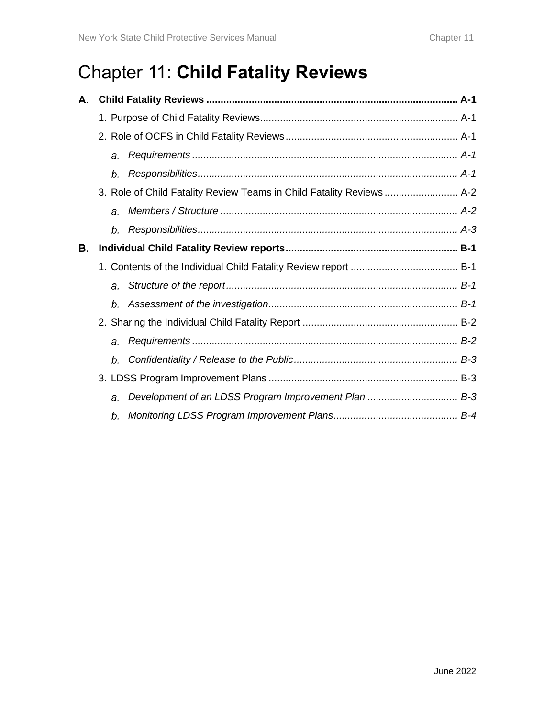# Chapter 11: **Child Fatality Reviews**

| А. |                                                                       |  |
|----|-----------------------------------------------------------------------|--|
|    |                                                                       |  |
|    |                                                                       |  |
|    | a.                                                                    |  |
|    | b.                                                                    |  |
|    | 3. Role of Child Fatality Review Teams in Child Fatality Reviews  A-2 |  |
|    | $\theta$ .                                                            |  |
|    | b.                                                                    |  |
| Β. |                                                                       |  |
|    |                                                                       |  |
|    |                                                                       |  |
|    | $b_{-}$                                                               |  |
|    |                                                                       |  |
|    | a <sub>r</sub>                                                        |  |
|    | b.                                                                    |  |
|    |                                                                       |  |
|    | a.                                                                    |  |
|    | b.                                                                    |  |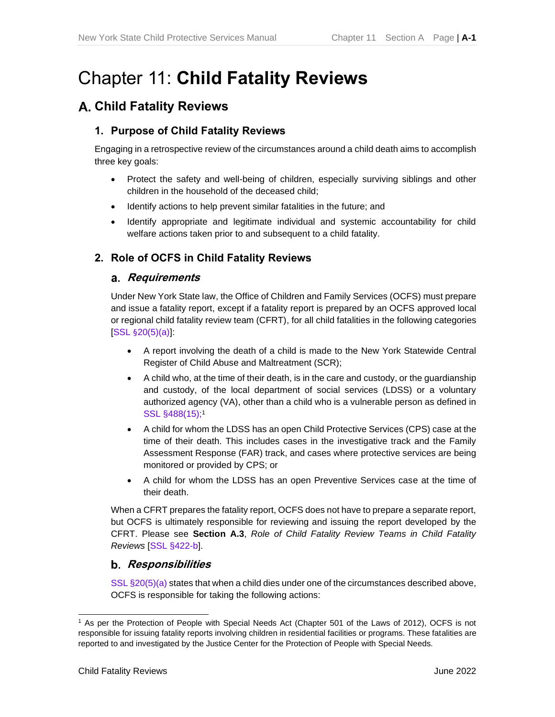# Chapter 11: **Child Fatality Reviews**

# <span id="page-2-0"></span>**Child Fatality Reviews**

## <span id="page-2-1"></span>**1. Purpose of Child Fatality Reviews**

Engaging in a retrospective review of the circumstances around a child death aims to accomplish three key goals:

- Protect the safety and well-being of children, especially surviving siblings and other children in the household of the deceased child;
- Identify actions to help prevent similar fatalities in the future; and
- Identify appropriate and legitimate individual and systemic accountability for child welfare actions taken prior to and subsequent to a child fatality.

# <span id="page-2-3"></span><span id="page-2-2"></span>**2. Role of OCFS in Child Fatality Reviews**

#### **Requirements**

Under New York State law, the Office of Children and Family Services (OCFS) must prepare and issue a fatality report, except if a fatality report is prepared by an OCFS approved local or regional child fatality review team (CFRT), for all child fatalities in the following categories [SSL §20(5)(a)]:

- A report involving the death of a child is made to the New York Statewide Central Register of Child Abuse and Maltreatment (SCR);
- A child who, at the time of their death, is in the care and custody, or the guardianship and custody, of the local department of social services (LDSS) or a voluntary authorized agency (VA), other than a child who is a vulnerable person as defined in SSL §488(15);<sup>1</sup>
- A child for whom the LDSS has an open Child Protective Services (CPS) case at the time of their death. This includes cases in the investigative track and the Family Assessment Response (FAR) track, and cases where protective services are being monitored or provided by CPS; or
- A child for whom the LDSS has an open Preventive Services case at the time of their death.

When a CFRT prepares the fatality report, OCFS does not have to prepare a separate report, but OCFS is ultimately responsible for reviewing and issuing the report developed by the CFRT. Please see **Section A.3**, *Role of Child Fatality Review Teams in Child Fatality Reviews* [SSL §422-b].

# <span id="page-2-4"></span>**Responsibilities**

SSL §20(5)(a) states that when a child dies under one of the circumstances described above, OCFS is responsible for taking the following actions:

<sup>1</sup> As per the Protection of People with Special Needs Act (Chapter 501 of the Laws of 2012), OCFS is not responsible for issuing fatality reports involving children in residential facilities or programs. These fatalities are reported to and investigated by the Justice Center for the Protection of People with Special Needs.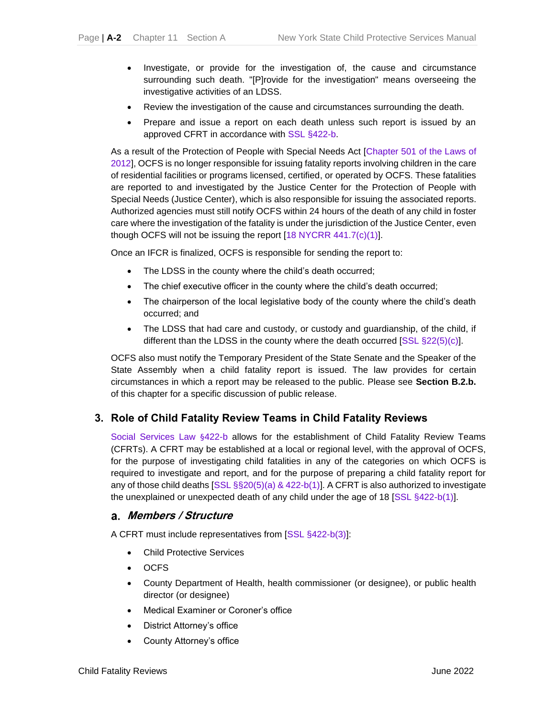- Investigate, or provide for the investigation of, the cause and circumstance surrounding such death. "[P]rovide for the investigation" means overseeing the investigative activities of an LDSS.
- Review the investigation of the cause and circumstances surrounding the death.
- Prepare and issue a report on each death unless such report is issued by an approved CFRT in accordance with SSL §422-b.

As a result of the Protection of People with Special Needs Act [Chapter 501 of the Laws of 2012], OCFS is no longer responsible for issuing fatality reports involving children in the care of residential facilities or programs licensed, certified, or operated by OCFS. These fatalities are reported to and investigated by the Justice Center for the Protection of People with Special Needs (Justice Center), which is also responsible for issuing the associated reports. Authorized agencies must still notify OCFS within 24 hours of the death of any child in foster care where the investigation of the fatality is under the jurisdiction of the Justice Center, even though OCFS will not be issuing the report [18 NYCRR 441.7(c)(1)].

Once an IFCR is finalized, OCFS is responsible for sending the report to:

- The LDSS in the county where the child's death occurred;
- The chief executive officer in the county where the child's death occurred;
- The chairperson of the local legislative body of the county where the child's death occurred; and
- The LDSS that had care and custody, or custody and guardianship, of the child, if different than the LDSS in the county where the death occurred [SSL §22(5)(c)].

OCFS also must notify the Temporary President of the State Senate and the Speaker of the State Assembly when a child fatality report is issued. The law provides for certain circumstances in which a report may be released to the public. Please see **Section B.2.b.** of this chapter for a specific discussion of public release.

#### <span id="page-3-0"></span>**3. Role of Child Fatality Review Teams in Child Fatality Reviews**

Social Services Law §422-b allows for the establishment of Child Fatality Review Teams (CFRTs). A CFRT may be established at a local or regional level, with the approval of OCFS, for the purpose of investigating child fatalities in any of the categories on which OCFS is required to investigate and report, and for the purpose of preparing a child fatality report for any of those child deaths [SSL §§20(5)(a) & 422-b(1)]. A CFRT is also authorized to investigate the unexplained or unexpected death of any child under the age of 18 [SSL §422-b(1)].

#### <span id="page-3-1"></span>**Members / Structure**

A CFRT must include representatives from [SSL §422-b(3)]:

- Child Protective Services
- OCFS
- County Department of Health, health commissioner (or designee), or public health director (or designee)
- Medical Examiner or Coroner's office
- District Attorney's office
- County Attorney's office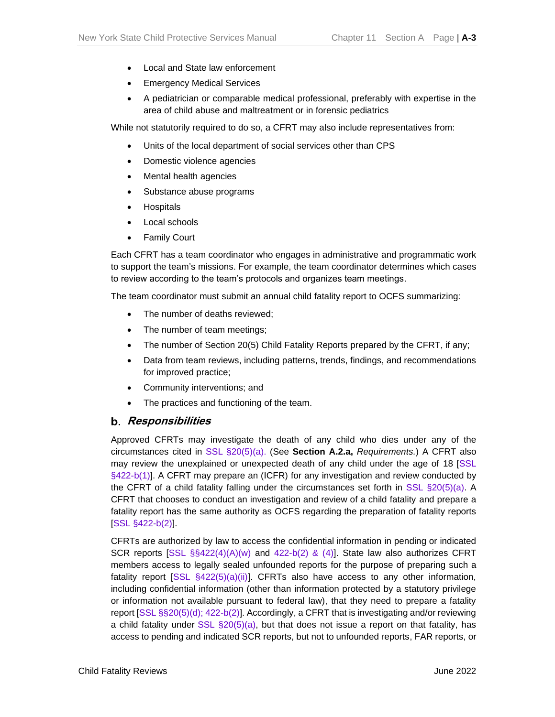- Local and State law enforcement
- Emergency Medical Services
- A pediatrician or comparable medical professional, preferably with expertise in the area of child abuse and maltreatment or in forensic pediatrics

While not statutorily required to do so, a CFRT may also include representatives from:

- Units of the local department of social services other than CPS
- Domestic violence agencies
- Mental health agencies
- Substance abuse programs
- Hospitals
- Local schools
- Family Court

Each CFRT has a team coordinator who engages in administrative and programmatic work to support the team's missions. For example, the team coordinator determines which cases to review according to the team's protocols and organizes team meetings.

The team coordinator must submit an annual child fatality report to OCFS summarizing:

- The number of deaths reviewed;
- The number of team meetings;
- The number of Section 20(5) Child Fatality Reports prepared by the CFRT, if any;
- Data from team reviews, including patterns, trends, findings, and recommendations for improved practice;
- Community interventions; and
- The practices and functioning of the team.

#### <span id="page-4-0"></span>**Responsibilities**

Approved CFRTs may investigate the death of any child who dies under any of the circumstances cited in SSL §20(5)(a). (See **Section A.2.a,** *Requirements.*) A CFRT also may review the unexplained or unexpected death of any child under the age of 18 [SSL §422-b(1)]. A CFRT may prepare an (ICFR) for any investigation and review conducted by the CFRT of a child fatality falling under the circumstances set forth in SSL §20(5)(a). A CFRT that chooses to conduct an investigation and review of a child fatality and prepare a fatality report has the same authority as OCFS regarding the preparation of fatality reports [SSL §422-b(2)].

CFRTs are authorized by law to access the confidential information in pending or indicated SCR reports  $[SSL \S$422(4)(A)(w)$  and  $422-b(2)$  & (4)]. State law also authorizes CFRT members access to legally sealed unfounded reports for the purpose of preparing such a fatality report  $[SSL \, §422(5)(a)(ii)]$ . CFRTs also have access to any other information, including confidential information (other than information protected by a statutory privilege or information not available pursuant to federal law), that they need to prepare a fatality report [SSL §§20(5)(d); 422-b(2)]. Accordingly, a CFRT that is investigating and/or reviewing a child fatality under  $SSL(5)(a)$ , but that does not issue a report on that fatality, has access to pending and indicated SCR reports, but not to unfounded reports, FAR reports, or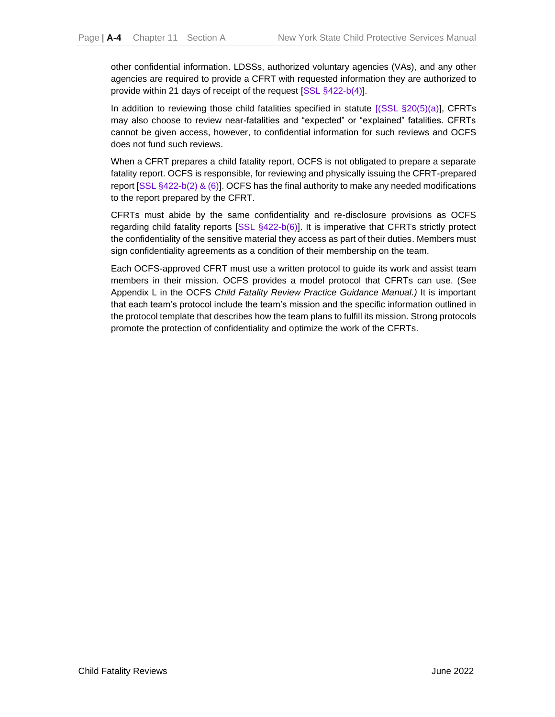other confidential information. LDSSs, authorized voluntary agencies (VAs), and any other agencies are required to provide a CFRT with requested information they are authorized to provide within 21 days of receipt of the request [SSL §422-b(4)].

In addition to reviewing those child fatalities specified in statute [(SSL §20(5)(a)], CFRTs may also choose to review near-fatalities and "expected" or "explained" fatalities. CFRTs cannot be given access, however, to confidential information for such reviews and OCFS does not fund such reviews.

When a CFRT prepares a child fatality report, OCFS is not obligated to prepare a separate fatality report. OCFS is responsible, for reviewing and physically issuing the CFRT-prepared report [SSL §422-b(2) & (6)]. OCFS has the final authority to make any needed modifications to the report prepared by the CFRT.

CFRTs must abide by the same confidentiality and re-disclosure provisions as OCFS regarding child fatality reports [SSL §422-b(6)]. It is imperative that CFRTs strictly protect the confidentiality of the sensitive material they access as part of their duties. Members must sign confidentiality agreements as a condition of their membership on the team.

Each OCFS-approved CFRT must use a written protocol to guide its work and assist team members in their mission. OCFS provides a model protocol that CFRTs can use. (See Appendix L in the OCFS *Child Fatality Review Practice Guidance Manual.)* It is important that each team's protocol include the team's mission and the specific information outlined in the protocol template that describes how the team plans to fulfill its mission. Strong protocols promote the protection of confidentiality and optimize the work of the CFRTs.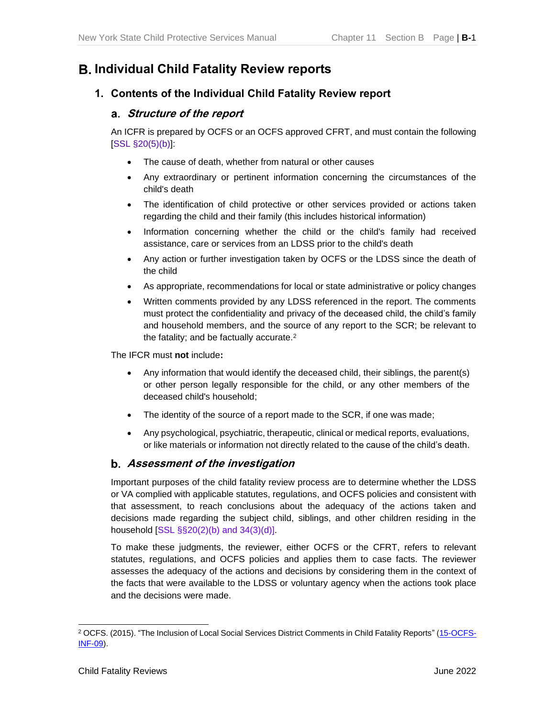# <span id="page-6-0"></span>**Individual Child Fatality Review reports**

# <span id="page-6-2"></span><span id="page-6-1"></span>**1. Contents of the Individual Child Fatality Review report**

## **Structure of the report**

An ICFR is prepared by OCFS or an OCFS approved CFRT, and must contain the following [SSL §20(5)(b)]:

- The cause of death, whether from natural or other causes
- Any extraordinary or pertinent information concerning the circumstances of the child's death
- The identification of child protective or other services provided or actions taken regarding the child and their family (this includes historical information)
- Information concerning whether the child or the child's family had received assistance, care or services from an LDSS prior to the child's death
- Any action or further investigation taken by OCFS or the LDSS since the death of the child
- As appropriate, recommendations for local or state administrative or policy changes
- Written comments provided by any LDSS referenced in the report. The comments must protect the confidentiality and privacy of the deceased child, the child's family and household members, and the source of any report to the SCR; be relevant to the fatality; and be factually accurate.<sup>2</sup>

The IFCR must **not** include**:** 

- Any information that would identify the deceased child, their siblings, the parent(s) or other person legally responsible for the child, or any other members of the deceased child's household;
- The identity of the source of a report made to the SCR, if one was made;
- Any psychological, psychiatric, therapeutic, clinical or medical reports, evaluations, or like materials or information not directly related to the cause of the child's death.

#### <span id="page-6-3"></span>**Assessment of the investigation**

Important purposes of the child fatality review process are to determine whether the LDSS or VA complied with applicable statutes, regulations, and OCFS policies and consistent with that assessment, to reach conclusions about the adequacy of the actions taken and decisions made regarding the subject child, siblings, and other children residing in the household [SSL §§20(2)(b) and 34(3)(d)].

To make these judgments, the reviewer, either OCFS or the CFRT, refers to relevant statutes, regulations, and OCFS policies and applies them to case facts. The reviewer assesses the adequacy of the actions and decisions by considering them in the context of the facts that were available to the LDSS or voluntary agency when the actions took place and the decisions were made.

<sup>2</sup> OCFS. (2015). "The Inclusion of Local Social Services District Comments in Child Fatality Reports" [\(15-OCFS-](http://ocfs.ny.gov/main/policies/external/OCFS_2015/INFs/15-OCFS-INF-09%20The%20Inclusion%20of%20Local%20Social%20Services%20District%20Comments%20in%20Child%20Fatality%20Reports.pdf)[INF-09\)](http://ocfs.ny.gov/main/policies/external/OCFS_2015/INFs/15-OCFS-INF-09%20The%20Inclusion%20of%20Local%20Social%20Services%20District%20Comments%20in%20Child%20Fatality%20Reports.pdf).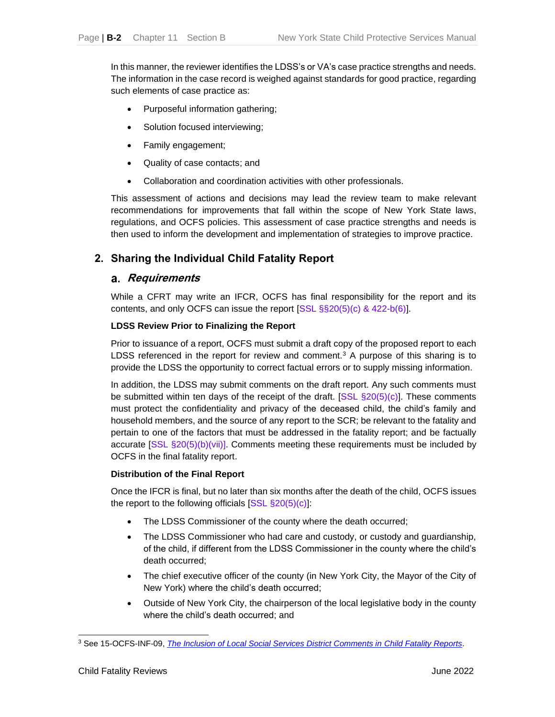In this manner, the reviewer identifies the LDSS's or VA's case practice strengths and needs. The information in the case record is weighed against standards for good practice, regarding such elements of case practice as:

- Purposeful information gathering;
- Solution focused interviewing;
- Family engagement;
- Quality of case contacts; and
- Collaboration and coordination activities with other professionals.

This assessment of actions and decisions may lead the review team to make relevant recommendations for improvements that fall within the scope of New York State laws, regulations, and OCFS policies. This assessment of case practice strengths and needs is then used to inform the development and implementation of strategies to improve practice.

### <span id="page-7-1"></span><span id="page-7-0"></span>**2. Sharing the Individual Child Fatality Report**

#### **Requirements**

While a CFRT may write an IFCR, OCFS has final responsibility for the report and its contents, and only OCFS can issue the report [SSL §§20(5)(c) & 422-b(6)].

#### **LDSS Review Prior to Finalizing the Report**

Prior to issuance of a report, OCFS must submit a draft copy of the proposed report to each LDSS referenced in the report for review and comment.<sup>3</sup> A purpose of this sharing is to provide the LDSS the opportunity to correct factual errors or to supply missing information.

In addition, the LDSS may submit comments on the draft report. Any such comments must be submitted within ten days of the receipt of the draft. [SSL §20(5)(c)]. These comments must protect the confidentiality and privacy of the deceased child, the child's family and household members, and the source of any report to the SCR; be relevant to the fatality and pertain to one of the factors that must be addressed in the fatality report; and be factually accurate [SSL §20(5)(b)(vii)]. Comments meeting these requirements must be included by OCFS in the final fatality report.

#### **Distribution of the Final Report**

Once the IFCR is final, but no later than six months after the death of the child, OCFS issues the report to the following officials  $[SSL §20(5)(c)]$ :

- The LDSS Commissioner of the county where the death occurred;
- The LDSS Commissioner who had care and custody, or custody and guardianship, of the child, if different from the LDSS Commissioner in the county where the child's death occurred;
- The chief executive officer of the county (in New York City, the Mayor of the City of New York) where the child's death occurred;
- Outside of New York City, the chairperson of the local legislative body in the county where the child's death occurred; and

<sup>3</sup> See 15-OCFS-INF-09, *[The Inclusion of Local Social Services District Comments in](http://ocfs.ny.gov/main/policies/external/OCFS_2015/INFs/15-OCFS-INF-09%20The%20Inclusion%20of%20Local%20Social%20Services%20District%20Comments%20in%20Child%20Fatality%20Reports.pdf) Child Fatality Reports*.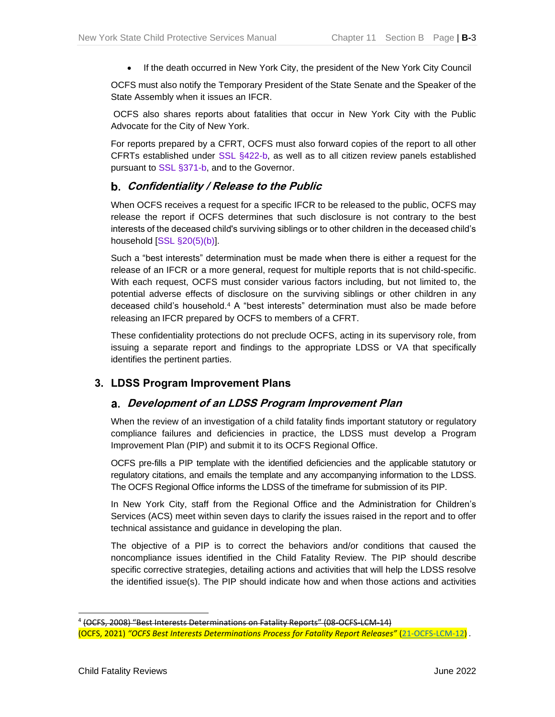• If the death occurred in New York City, the president of the New York City Council

OCFS must also notify the Temporary President of the State Senate and the Speaker of the State Assembly when it issues an IFCR.

OCFS also shares reports about fatalities that occur in New York City with the Public Advocate for the City of New York.

For reports prepared by a CFRT, OCFS must also forward copies of the report to all other CFRTs established under SSL §422-b, as well as to all citizen review panels established pursuant to SSL §371-b, and to the Governor.

### <span id="page-8-0"></span>**Confidentiality / Release to the Public**

When OCFS receives a request for a specific IFCR to be released to the public, OCFS may release the report if OCFS determines that such disclosure is not contrary to the best interests of the deceased child's surviving siblings or to other children in the deceased child's household [SSL §20(5)(b)].

Such a "best interests" determination must be made when there is either a request for the release of an IFCR or a more general, request for multiple reports that is not child-specific. With each request, OCFS must consider various factors including, but not limited to, the potential adverse effects of disclosure on the surviving siblings or other children in any deceased child's household.<sup>4</sup> A "best interests" determination must also be made before releasing an IFCR prepared by OCFS to members of a CFRT.

These confidentiality protections do not preclude OCFS, acting in its supervisory role, from issuing a separate report and findings to the appropriate LDSS or VA that specifically identifies the pertinent parties.

# <span id="page-8-2"></span><span id="page-8-1"></span>**3. LDSS Program Improvement Plans**

#### **Development of an LDSS Program Improvement Plan**

When the review of an investigation of a child fatality finds important statutory or regulatory compliance failures and deficiencies in practice, the LDSS must develop a Program Improvement Plan (PIP) and submit it to its OCFS Regional Office.

OCFS pre-fills a PIP template with the identified deficiencies and the applicable statutory or regulatory citations, and emails the template and any accompanying information to the LDSS. The OCFS Regional Office informs the LDSS of the timeframe for submission of its PIP.

In New York City, staff from the Regional Office and the Administration for Children's Services (ACS) meet within seven days to clarify the issues raised in the report and to offer technical assistance and guidance in developing the plan.

The objective of a PIP is to correct the behaviors and/or conditions that caused the noncompliance issues identified in the Child Fatality Review. The PIP should describe specific corrective strategies, detailing actions and activities that will help the LDSS resolve the identified issue(s). The PIP should indicate how and when those actions and activities

<sup>4</sup> (OCFS, 2008) "Best Interests Determinations on Fatality Reports" (08-OCFS-LCM-14) (OCFS, 2021) *"OCFS Best Interests Determinations Process for Fatality Report Releases"* [\(21-OCFS-LCM-12\)](https://ocfs.ny.gov/main/policies/external/ocfs_2021/LCM/21-OCFS-LCM-12.pdf) *.*